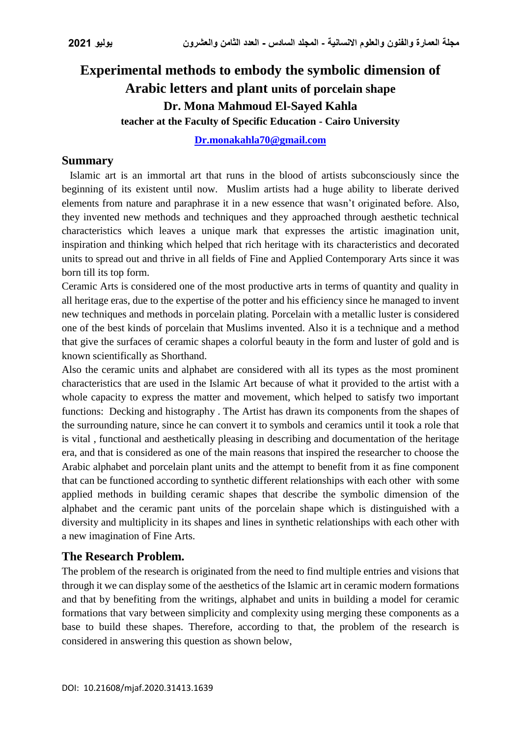# **Experimental methods to embody the symbolic dimension of Arabic letters and plant units of porcelain shape Dr. Mona Mahmoud El-Sayed Kahla teacher at the Faculty of Specific Education - Cairo University**

**[Dr.monakahla70@gmail.com](mailto:Dr.monakahla70@gmail.com)**

#### **Summary**

 Islamic art is an immortal art that runs in the blood of artists subconsciously since the beginning of its existent until now. Muslim artists had a huge ability to liberate derived elements from nature and paraphrase it in a new essence that wasn't originated before. Also, they invented new methods and techniques and they approached through aesthetic technical characteristics which leaves a unique mark that expresses the artistic imagination unit, inspiration and thinking which helped that rich heritage with its characteristics and decorated units to spread out and thrive in all fields of Fine and Applied Contemporary Arts since it was born till its top form.

Ceramic Arts is considered one of the most productive arts in terms of quantity and quality in all heritage eras, due to the expertise of the potter and his efficiency since he managed to invent new techniques and methods in porcelain plating. Porcelain with a metallic luster is considered one of the best kinds of porcelain that Muslims invented. Also it is a technique and a method that give the surfaces of ceramic shapes a colorful beauty in the form and luster of gold and is known scientifically as Shorthand.

Also the ceramic units and alphabet are considered with all its types as the most prominent characteristics that are used in the Islamic Art because of what it provided to the artist with a whole capacity to express the matter and movement, which helped to satisfy two important functions: Decking and histography . The Artist has drawn its components from the shapes of the surrounding nature, since he can convert it to symbols and ceramics until it took a role that is vital , functional and aesthetically pleasing in describing and documentation of the heritage era, and that is considered as one of the main reasons that inspired the researcher to choose the Arabic alphabet and porcelain plant units and the attempt to benefit from it as fine component that can be functioned according to synthetic different relationships with each other with some applied methods in building ceramic shapes that describe the symbolic dimension of the alphabet and the ceramic pant units of the porcelain shape which is distinguished with a diversity and multiplicity in its shapes and lines in synthetic relationships with each other with a new imagination of Fine Arts.

### **The Research Problem.**

The problem of the research is originated from the need to find multiple entries and visions that through it we can display some of the aesthetics of the Islamic art in ceramic modern formations and that by benefiting from the writings, alphabet and units in building a model for ceramic formations that vary between simplicity and complexity using merging these components as a base to build these shapes. Therefore, according to that, the problem of the research is considered in answering this question as shown below,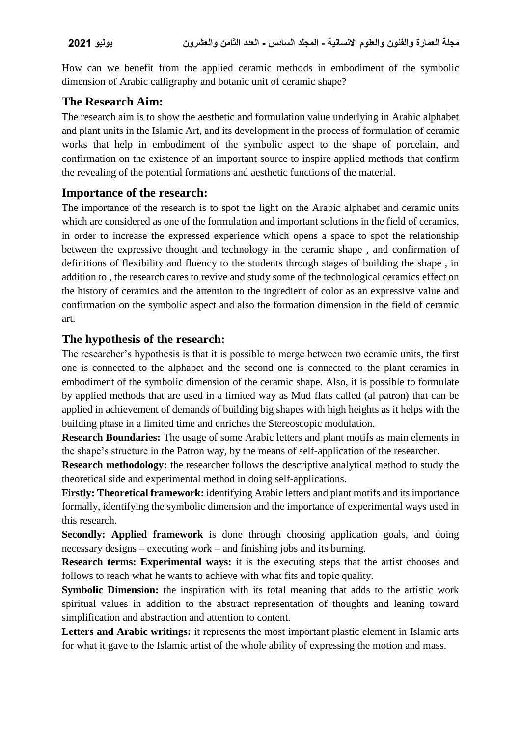How can we benefit from the applied ceramic methods in embodiment of the symbolic dimension of Arabic calligraphy and botanic unit of ceramic shape?

# **The Research Aim:**

The research aim is to show the aesthetic and formulation value underlying in Arabic alphabet and plant units in the Islamic Art, and its development in the process of formulation of ceramic works that help in embodiment of the symbolic aspect to the shape of porcelain, and confirmation on the existence of an important source to inspire applied methods that confirm the revealing of the potential formations and aesthetic functions of the material.

# **Importance of the research:**

The importance of the research is to spot the light on the Arabic alphabet and ceramic units which are considered as one of the formulation and important solutions in the field of ceramics, in order to increase the expressed experience which opens a space to spot the relationship between the expressive thought and technology in the ceramic shape , and confirmation of definitions of flexibility and fluency to the students through stages of building the shape , in addition to , the research cares to revive and study some of the technological ceramics effect on the history of ceramics and the attention to the ingredient of color as an expressive value and confirmation on the symbolic aspect and also the formation dimension in the field of ceramic art.

### **The hypothesis of the research:**

The researcher's hypothesis is that it is possible to merge between two ceramic units, the first one is connected to the alphabet and the second one is connected to the plant ceramics in embodiment of the symbolic dimension of the ceramic shape. Also, it is possible to formulate by applied methods that are used in a limited way as Mud flats called (al patron) that can be applied in achievement of demands of building big shapes with high heights as it helps with the building phase in a limited time and enriches the Stereoscopic modulation.

**Research Boundaries:** The usage of some Arabic letters and plant motifs as main elements in the shape's structure in the Patron way, by the means of self-application of the researcher.

**Research methodology:** the researcher follows the descriptive analytical method to study the theoretical side and experimental method in doing self-applications.

**Firstly: Theoretical framework:** identifying Arabic letters and plant motifs and its importance formally, identifying the symbolic dimension and the importance of experimental ways used in this research.

**Secondly: Applied framework** is done through choosing application goals, and doing necessary designs – executing work – and finishing jobs and its burning.

**Research terms: Experimental ways:** it is the executing steps that the artist chooses and follows to reach what he wants to achieve with what fits and topic quality.

**Symbolic Dimension:** the inspiration with its total meaning that adds to the artistic work spiritual values in addition to the abstract representation of thoughts and leaning toward simplification and abstraction and attention to content.

**Letters and Arabic writings:** it represents the most important plastic element in Islamic arts for what it gave to the Islamic artist of the whole ability of expressing the motion and mass.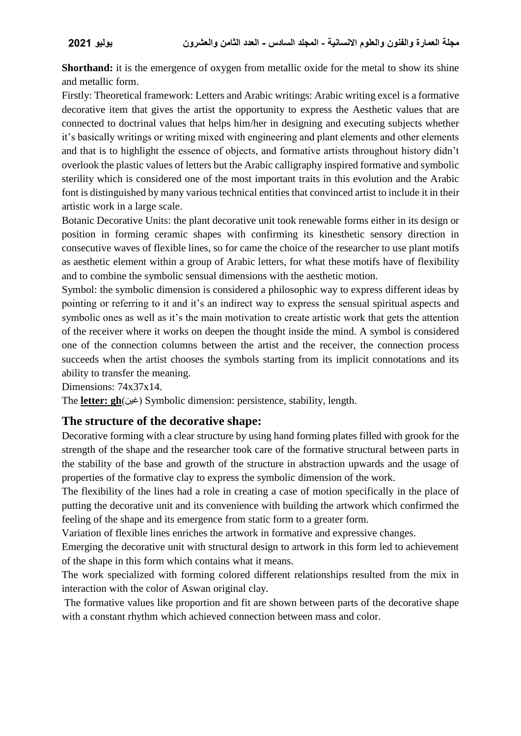**Shorthand:** it is the emergence of oxygen from metallic oxide for the metal to show its shine and metallic form.

Firstly: Theoretical framework: Letters and Arabic writings: Arabic writing excel is a formative decorative item that gives the artist the opportunity to express the Aesthetic values that are connected to doctrinal values that helps him/her in designing and executing subjects whether it's basically writings or writing mixed with engineering and plant elements and other elements and that is to highlight the essence of objects, and formative artists throughout history didn't overlook the plastic values of letters but the Arabic calligraphy inspired formative and symbolic sterility which is considered one of the most important traits in this evolution and the Arabic font is distinguished by many various technical entities that convinced artist to include it in their artistic work in a large scale.

Botanic Decorative Units: the plant decorative unit took renewable forms either in its design or position in forming ceramic shapes with confirming its kinesthetic sensory direction in consecutive waves of flexible lines, so for came the choice of the researcher to use plant motifs as aesthetic element within a group of Arabic letters, for what these motifs have of flexibility and to combine the symbolic sensual dimensions with the aesthetic motion.

Symbol: the symbolic dimension is considered a philosophic way to express different ideas by pointing or referring to it and it's an indirect way to express the sensual spiritual aspects and symbolic ones as well as it's the main motivation to create artistic work that gets the attention of the receiver where it works on deepen the thought inside the mind. A symbol is considered one of the connection columns between the artist and the receiver, the connection process succeeds when the artist chooses the symbols starting from its implicit connotations and its ability to transfer the meaning.

Dimensions: 74x37x14.

The **letter: gh**)غين )Symbolic dimension: persistence, stability, length.

#### **The structure of the decorative shape:**

Decorative forming with a clear structure by using hand forming plates filled with grook for the strength of the shape and the researcher took care of the formative structural between parts in the stability of the base and growth of the structure in abstraction upwards and the usage of properties of the formative clay to express the symbolic dimension of the work.

The flexibility of the lines had a role in creating a case of motion specifically in the place of putting the decorative unit and its convenience with building the artwork which confirmed the feeling of the shape and its emergence from static form to a greater form.

Variation of flexible lines enriches the artwork in formative and expressive changes.

Emerging the decorative unit with structural design to artwork in this form led to achievement of the shape in this form which contains what it means.

The work specialized with forming colored different relationships resulted from the mix in interaction with the color of Aswan original clay.

The formative values like proportion and fit are shown between parts of the decorative shape with a constant rhythm which achieved connection between mass and color.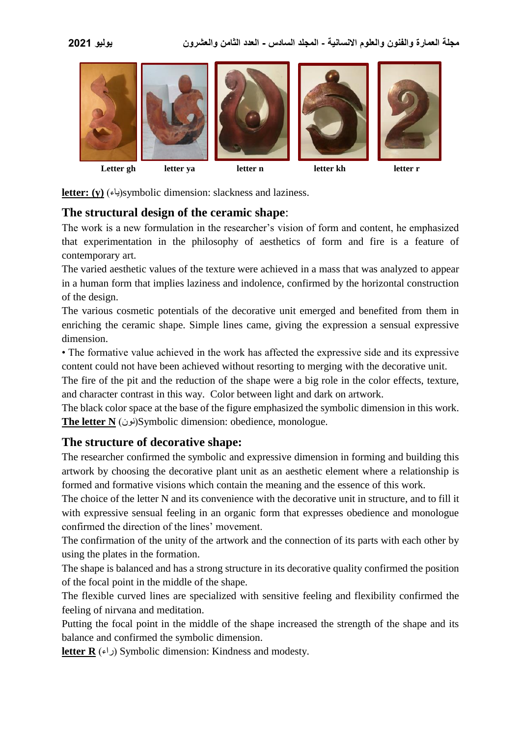

**letter: (y)** )ياء)symbolic dimension: slackness and laziness.

### **The structural design of the ceramic shape**:

The work is a new formulation in the researcher's vision of form and content, he emphasized that experimentation in the philosophy of aesthetics of form and fire is a feature of contemporary art.

The varied aesthetic values of the texture were achieved in a mass that was analyzed to appear in a human form that implies laziness and indolence, confirmed by the horizontal construction of the design.

The various cosmetic potentials of the decorative unit emerged and benefited from them in enriching the ceramic shape. Simple lines came, giving the expression a sensual expressive dimension.

• The formative value achieved in the work has affected the expressive side and its expressive content could not have been achieved without resorting to merging with the decorative unit.

The fire of the pit and the reduction of the shape were a big role in the color effects, texture, and character contrast in this way. Color between light and dark on artwork.

The black color space at the base of the figure emphasized the symbolic dimension in this work. **The letter N** )نون)Symbolic dimension: obedience, monologue.

### **The structure of decorative shape:**

The researcher confirmed the symbolic and expressive dimension in forming and building this artwork by choosing the decorative plant unit as an aesthetic element where a relationship is formed and formative visions which contain the meaning and the essence of this work.

The choice of the letter N and its convenience with the decorative unit in structure, and to fill it with expressive sensual feeling in an organic form that expresses obedience and monologue confirmed the direction of the lines' movement.

The confirmation of the unity of the artwork and the connection of its parts with each other by using the plates in the formation.

The shape is balanced and has a strong structure in its decorative quality confirmed the position of the focal point in the middle of the shape.

The flexible curved lines are specialized with sensitive feeling and flexibility confirmed the feeling of nirvana and meditation.

Putting the focal point in the middle of the shape increased the strength of the shape and its balance and confirmed the symbolic dimension.

**letter R**  $(\epsilon)$ ) Symbolic dimension: Kindness and modesty.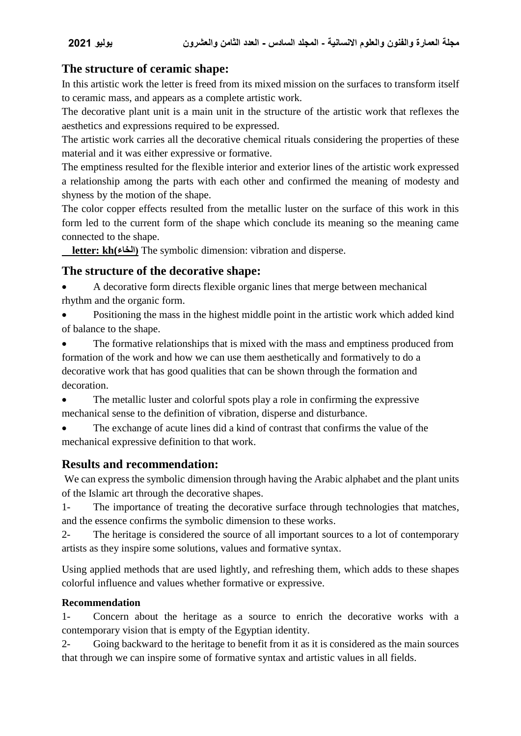### **The structure of ceramic shape:**

In this artistic work the letter is freed from its mixed mission on the surfaces to transform itself to ceramic mass, and appears as a complete artistic work.

The decorative plant unit is a main unit in the structure of the artistic work that reflexes the aesthetics and expressions required to be expressed.

The artistic work carries all the decorative chemical rituals considering the properties of these material and it was either expressive or formative.

The emptiness resulted for the flexible interior and exterior lines of the artistic work expressed a relationship among the parts with each other and confirmed the meaning of modesty and shyness by the motion of the shape.

The color copper effects resulted from the metallic luster on the surface of this work in this form led to the current form of the shape which conclude its meaning so the meaning came connected to the shape.

 **letter: kh(الخاء )**The symbolic dimension: vibration and disperse.

### **The structure of the decorative shape:**

- A decorative form directs flexible organic lines that merge between mechanical rhythm and the organic form.
- Positioning the mass in the highest middle point in the artistic work which added kind of balance to the shape.
- The formative relationships that is mixed with the mass and emptiness produced from formation of the work and how we can use them aesthetically and formatively to do a decorative work that has good qualities that can be shown through the formation and decoration.
- The metallic luster and colorful spots play a role in confirming the expressive mechanical sense to the definition of vibration, disperse and disturbance.

 The exchange of acute lines did a kind of contrast that confirms the value of the mechanical expressive definition to that work.

### **Results and recommendation:**

We can express the symbolic dimension through having the Arabic alphabet and the plant units of the Islamic art through the decorative shapes.

1- The importance of treating the decorative surface through technologies that matches, and the essence confirms the symbolic dimension to these works.

2- The heritage is considered the source of all important sources to a lot of contemporary artists as they inspire some solutions, values and formative syntax.

Using applied methods that are used lightly, and refreshing them, which adds to these shapes colorful influence and values whether formative or expressive.

#### **Recommendation**

1- Concern about the heritage as a source to enrich the decorative works with a contemporary vision that is empty of the Egyptian identity.

2- Going backward to the heritage to benefit from it as it is considered as the main sources that through we can inspire some of formative syntax and artistic values in all fields.